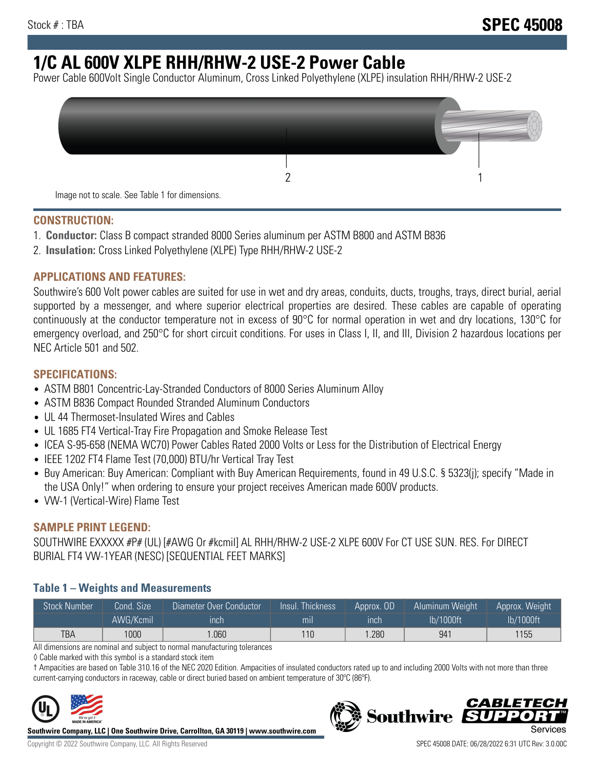# **1/C AL 600V XLPE RHH/RHW-2 USE-2 Power Cable**

Power Cable 600Volt Single Conductor Aluminum, Cross Linked Polyethylene (XLPE) insulation RHH/RHW-2 USE-2



#### **CONSTRUCTION:**

- 1. **Conductor:** Class B compact stranded 8000 Series aluminum per ASTM B800 and ASTM B836
- 2. **Insulation:** Cross Linked Polyethylene (XLPE) Type RHH/RHW-2 USE-2

#### **APPLICATIONS AND FEATURES:**

Southwire's 600 Volt power cables are suited for use in wet and dry areas, conduits, ducts, troughs, trays, direct burial, aerial supported by a messenger, and where superior electrical properties are desired. These cables are capable of operating continuously at the conductor temperature not in excess of 90°C for normal operation in wet and dry locations, 130°C for emergency overload, and 250°C for short circuit conditions. For uses in Class I, II, and III, Division 2 hazardous locations per NEC Article 501 and 502.

#### **SPECIFICATIONS:**

- ASTM B801 Concentric-Lay-Stranded Conductors of 8000 Series Aluminum Alloy
- ASTM B836 Compact Rounded Stranded Aluminum Conductors
- UL 44 Thermoset-Insulated Wires and Cables
- UL 1685 FT4 Vertical-Tray Fire Propagation and Smoke Release Test
- ICEA S-95-658 (NEMA WC70) Power Cables Rated 2000 Volts or Less for the Distribution of Electrical Energy
- IEEE 1202 FT4 Flame Test (70,000) BTU/hr Vertical Tray Test
- Buy American: Buy American: Compliant with Buy American Requirements, found in 49 U.S.C. § 5323(j); specify "Made in the USA Only!" when ordering to ensure your project receives American made 600V products.
- VW-1 (Vertical-Wire) Flame Test

## **SAMPLE PRINT LEGEND:**

SOUTHWIRE EXXXXX #P# (UL) [#AWG Or #kcmil] AL RHH/RHW-2 USE-2 XLPE 600V For CT USE SUN. RES. For DIRECT BURIAL FT4 VW-1YEAR (NESC) [SEQUENTIAL FEET MARKS]

## **Table 1 – Weights and Measurements**

| <b>Stock Number</b> | Cond. Size | Diameter Over Conductor | Insul. Thickness | Approx. OD | Aluminum Weight | Approx. Weight |
|---------------------|------------|-------------------------|------------------|------------|-----------------|----------------|
|                     | AWG/Kcmil  | inch                    | mıl              | inch       | lb/1000ft       | lb/1000ft      |
| TBA                 | 1000       | .060                    | 110              | .280       | 941             | 1155           |

All dimensions are nominal and subject to normal manufacturing tolerances

◊ Cable marked with this symbol is a standard stock item

† Ampacities are based on Table 310.16 of the NEC 2020 Edition. Ampacities of insulated conductors rated up to and including 2000 Volts with not more than three current-carrying conductors in raceway, cable or direct buried based on ambient temperature of 30ºC (86ºF).



**Southwire Company, LLC | One Southwire Drive, Carrollton, GA 30119 | www.southwire.com**

*CABLET*